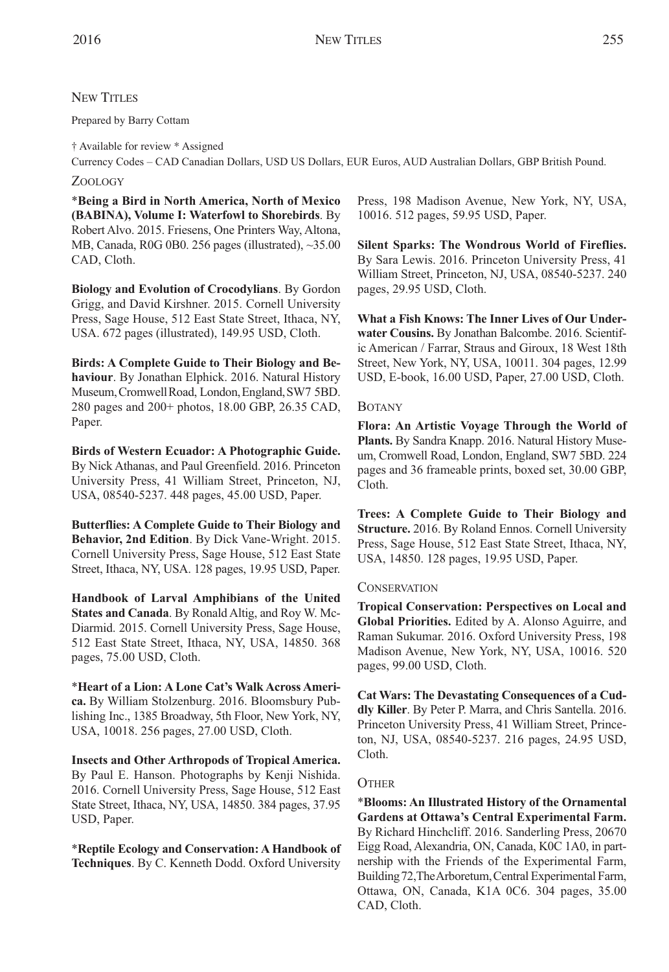# NEW TITLES

Prepared by Barry Cottam

† Available for review \* Assigned Currency Codes – CAD Canadian Dollars, USD US Dollars, EUR Euros, AUD Australian Dollars, GBP British Pound.

### ZOOLOGY

\***Being a Bird in North America, North of Mexico (BABINA), Volume I: Waterfowl to Shorebirds**. By Robert Alvo. 2015. Friesens, One Printers Way, Altona, MB, Canada, R0G 0B0. 256 pages (illustrated), ~35.00 CAD, Cloth.

**Biology and Evolution of Crocodylians**. By Gordon Grigg, and David Kirshner. 2015. Cornell University Press, Sage House, 512 East State Street, Ithaca, NY, USA. 672 pages (illustrated), 149.95 USD, Cloth.

**Birds: A Complete Guide to Their Biology and Behaviour**. By Jonathan Elphick. 2016. Natural History Museum,CromwellRoad, London,England,SW7 5BD. 280 pages and 200+ photos, 18.00 GBP, 26.35 CAD, Paper.

**Birds of Western Ecuador: A Photographic Guide.** By Nick Athanas, and Paul Greenfield. 2016. Princeton University Press, 41 William Street, Princeton, NJ, USA, 08540-5237. 448 pages, 45.00 USD, Paper.

**Butterflies: A Complete Guide to Their Biology and Behavior, 2nd Edition**. By Dick Vane-Wright. 2015. Cornell University Press, Sage House, 512 East State Street, Ithaca, NY, USA. 128 pages, 19.95 USD, Paper.

**Handbook of Larval Amphibians of the United States and Canada**. By Ronald Altig, and Roy W. Mc-Diarmid. 2015. Cornell University Press, Sage House, 512 East State Street, Ithaca, NY, USA, 14850. 368 pages, 75.00 USD, Cloth.

\***Heart of a Lion: A Lone Cat's Walk Across America.** By William Stolzenburg. 2016. Bloomsbury Publishing Inc., 1385 Broadway, 5th Floor, New York, NY, USA, 10018. 256 pages, 27.00 USD, Cloth.

**Insects and Other Arthropods of Tropical America.** By Paul E. Hanson. Photographs by Kenji Nishida. 2016. Cornell University Press, Sage House, 512 East State Street, Ithaca, NY, USA, 14850. 384 pages, 37.95 USD, Paper.

\***Reptile Ecology and Conservation: A Handbook of Techniques**. By C. Kenneth Dodd. Oxford University

Press, 198 Madison Avenue, New York, NY, USA, 10016. 512 pages, 59.95 USD, Paper.

**Silent Sparks: The Wondrous World of Fireflies.** By Sara Lewis. 2016. Princeton University Press, 41 William Street, Princeton, NJ, USA, 08540-5237. 240 pages, 29.95 USD, Cloth.

**What a Fish Knows: The Inner Lives of Our Underwater Cousins.** By Jonathan Balcombe. 2016. Scientific American / Farrar, Straus and Giroux, 18 West 18th Street, New York, NY, USA, 10011. 304 pages, 12.99 USD, E-book, 16.00 USD, Paper, 27.00 USD, Cloth.

### BOTANY

**Flora: An Artistic Voyage Through the World of Plants.** By Sandra Knapp. 2016. Natural History Museum, Cromwell Road, London, England, SW7 5BD. 224 pages and 36 frameable prints, boxed set, 30.00 GBP, Cloth.

**Trees: A Complete Guide to Their Biology and Structure.** 2016. By Roland Ennos. Cornell University Press, Sage House, 512 East State Street, Ithaca, NY, USA, 14850. 128 pages, 19.95 USD, Paper.

#### **CONSERVATION**

**Tropical Conservation: Perspectives on Local and Global Priorities.** Edited by A. Alonso Aguirre, and Raman Sukumar. 2016. Oxford University Press, 198 Madison Avenue, New York, NY, USA, 10016. 520 pages, 99.00 USD, Cloth.

**Cat Wars: The Devastating Consequences of a Cuddly Killer**. By Peter P. Marra, and Chris Santella. 2016. Princeton University Press, 41 William Street, Princeton, NJ, USA, 08540-5237. 216 pages, 24.95 USD, Cloth.

## **OTHER**

\***Blooms: An Illustrated History of the Ornamental Gardens at Ottawa's Central Experimental Farm.** By Richard Hinchcliff. 2016. Sanderling Press, 20670 Eigg Road, Alexandria, ON, Canada, K0C 1A0, in partnership with the Friends of the Experimental Farm, Building 72, The Arboretum, Central Experimental Farm, Ottawa, ON, Canada, K1A 0C6. 304 pages, 35.00 CAD, Cloth.